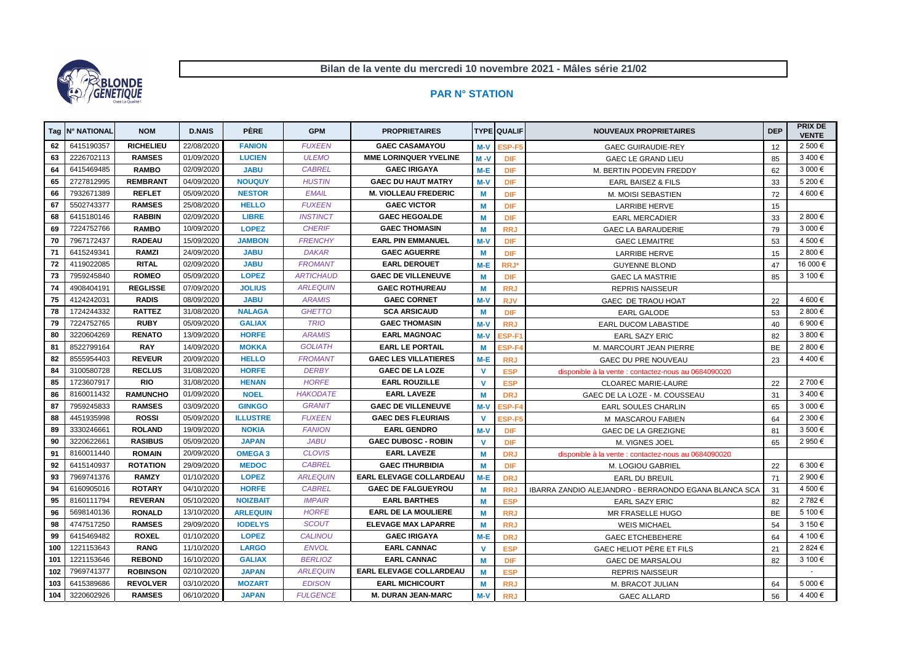|                  | Tag   N° NATIONAL | <b>NOM</b>       | <b>D.NAIS</b> | <b>PÈRE</b>     | <b>GPM</b>       | <b>PROPRIETAIRES</b>           |              | <b>TYPE QUALIF</b> | <b>NOUVEAUX PROPRIETAIRES</b>                        | <b>DEP</b> | <b>PRIX DE</b><br><b>VENTE</b> |
|------------------|-------------------|------------------|---------------|-----------------|------------------|--------------------------------|--------------|--------------------|------------------------------------------------------|------------|--------------------------------|
| 62               | 6415190357        | <b>RICHELIEU</b> | 22/08/2020    | <b>FANION</b>   | <b>FUXEEN</b>    | <b>GAEC CASAMAYOU</b>          | $M-V$        | ESP-F5             | <b>GAEC GUIRAUDIE-REY</b>                            |            | 2 500 €                        |
| 63               | 2226702113        | <b>RAMSES</b>    | 01/09/2020    | <b>LUCIEN</b>   | <b>ULEMO</b>     | <b>MME LORINQUER YVELINE</b>   | $M - V$      | <b>DIF</b>         | <b>GAEC LE GRAND LIEU</b>                            | 85         | 3400€                          |
| 64               | 6415469485        | <b>RAMBO</b>     | 02/09/2020    | <b>JABU</b>     | <b>CABREL</b>    | <b>GAEC IRIGAYA</b>            | M-E          | <b>DIF</b>         | M. BERTIN PODEVIN FREDDY                             |            | 3 000€                         |
| 65               | 2727812995        | <b>REMBRANT</b>  | 04/09/2020    | <b>NOUQUY</b>   | <b>HUSTIN</b>    | <b>GAEC DU HAUT MATRY</b>      | $M-V$        | <b>DIF</b>         | <b>EARL BAISEZ &amp; FILS</b>                        |            | 5 200 €                        |
| 66               | 7932671389        | <b>REFLET</b>    | 05/09/2020    | <b>NESTOR</b>   | <b>EMAIL</b>     | <b>M. VIOLLEAU FREDERIC</b>    | M            | <b>DIF</b>         | M. MOISI SEBASTIEN                                   |            | 4 600 €                        |
| 67               | 5502743377        | <b>RAMSES</b>    | 25/08/2020    | <b>HELLO</b>    | <b>FUXEEN</b>    | <b>GAEC VICTOR</b>             | M            | <b>DIF</b>         | <b>LARRIBE HERVE</b>                                 |            |                                |
| 68               | 6415180146        | <b>RABBIN</b>    | 02/09/2020    | <b>LIBRE</b>    | <b>INSTINCT</b>  | <b>GAEC HEGOALDE</b>           | M            | <b>DIF</b>         | <b>EARL MERCADIER</b>                                |            | 2 800 €                        |
| 69               | 7224752766        | <b>RAMBO</b>     | 10/09/2020    | <b>LOPEZ</b>    | <b>CHERIF</b>    | <b>GAEC THOMASIN</b>           | M            | <b>RRJ</b>         | <b>GAEC LA BARAUDERIE</b>                            |            | 3 000 €                        |
| 70               | 7967172437        | <b>RADEAU</b>    | 15/09/2020    | <b>JAMBON</b>   | <b>FRENCHY</b>   | <b>EARL PIN EMMANUEL</b>       | $M-V$        | <b>DIF</b>         | <b>GAEC LEMAITRE</b>                                 |            | 4 500 €                        |
| 71               | 6415249341        | <b>RAMZI</b>     | 24/09/2020    | <b>JABU</b>     | <b>DAKAR</b>     | <b>GAEC AGUERRE</b>            | M            | <b>DIF</b>         | <b>LARRIBE HERVE</b>                                 |            | 2 800 €                        |
| 72               | 4119022085        | <b>RITAL</b>     | 02/09/2020    | <b>JABU</b>     | <b>FROMANT</b>   | <b>EARL DEROUET</b>            | $M-E$        | RRJ*               | <b>GUYENNE BLOND</b>                                 | 47         | 16 000 €                       |
| 73               | 7959245840        | <b>ROMEO</b>     | 05/09/2020    | <b>LOPEZ</b>    | <b>ARTICHAUD</b> | <b>GAEC DE VILLENEUVE</b>      | M            | <b>DIF</b>         | <b>GAEC LA MASTRIE</b>                               | 85         | 3 100 €                        |
| 74               | 4908404191        | <b>REGLISSE</b>  | 07/09/2020    | <b>JOLIUS</b>   | <b>ARLEQUIN</b>  | <b>GAEC ROTHUREAU</b>          | M            | <b>RRJ</b>         | <b>REPRIS NAISSEUR</b>                               |            |                                |
| 75               | 4124242031        | <b>RADIS</b>     | 08/09/2020    | <b>JABU</b>     | <b>ARAMIS</b>    | <b>GAEC CORNET</b>             | $M-V$        | <b>RJV</b>         | GAEC DE TRAOU HOAT                                   |            | 4 600 €                        |
| 78               | 1724244332        | <b>RATTEZ</b>    | 31/08/2020    | <b>NALAGA</b>   | <b>GHETTO</b>    | <b>SCA ARSICAUD</b>            | M            | <b>DIF</b>         | <b>EARL GALODE</b>                                   |            | 2 800 €                        |
| 79               | 7224752765        | <b>RUBY</b>      | 05/09/2020    | <b>GALIAX</b>   | <b>TRIO</b>      | <b>GAEC THOMASIN</b>           | $M-V$        | <b>RRJ</b>         | <b>EARL DUCOM LABASTIDE</b>                          |            | 6 900 €                        |
| 80               | 3220604269        | <b>RENATO</b>    | 13/09/2020    | <b>HORFE</b>    | <b>ARAMIS</b>    | <b>EARL MAGNOAC</b>            | M-V          | ESP-F1             | <b>EARL SAZY ERIC</b>                                | 82         | 3 800 €                        |
| 81               | 8522799164        | <b>RAY</b>       | 14/09/2020    | <b>MOKKA</b>    | <b>GOLIATH</b>   | <b>EARL LE PORTAIL</b>         | M            | ESP-F4             | M. MARCOURT JEAN PIERRE                              |            | 2 800 €                        |
| 82               | 8555954403        | <b>REVEUR</b>    | 20/09/2020    | <b>HELLO</b>    | <b>FROMANT</b>   | <b>GAEC LES VILLATIERES</b>    | $M-E$        | <b>RRJ</b>         | GAEC DU PRE NOUVEAU                                  |            | 4 400 €                        |
| 84               | 3100580728        | <b>RECLUS</b>    | 31/08/2020    | <b>HORFE</b>    | <b>DERBY</b>     | <b>GAEC DE LA LOZE</b>         | <b>V</b>     | <b>ESP</b>         | disponible à la vente : contactez-nous au 0684090020 |            |                                |
| 85               | 1723607917        | <b>RIO</b>       | 31/08/2020    | <b>HENAN</b>    | <b>HORFE</b>     | <b>EARL ROUZILLE</b>           | V            | <b>ESP</b>         | <b>CLOAREC MARIE-LAURE</b>                           |            | 2 700 €                        |
| 86               | 8160011432        | <b>RAMUNCHO</b>  | 01/09/2020    | <b>NOEL</b>     | <b>HAKODATE</b>  | <b>EARL LAVEZE</b>             | M            | <b>DRJ</b>         | 31<br>GAEC DE LA LOZE - M. COUSSEAU                  |            | 3 400 €                        |
| 87               | 7959245833        | <b>RAMSES</b>    | 03/09/2020    | <b>GINKGO</b>   | <b>GRANIT</b>    | <b>GAEC DE VILLENEUVE</b>      | M-V          | ESP-F4             | <b>EARL SOULES CHARLIN</b>                           |            | 3 000 €                        |
| 88               | 4451935998        | <b>ROSSI</b>     | 05/09/2020    | <b>ILLUSTRE</b> | <b>FUXEEN</b>    | <b>GAEC DES FLEURIAIS</b>      | V            | ESP-F5             | M MASCAROU FABIEN                                    |            | 2 300 €                        |
| 89               | 3330246661        | <b>ROLAND</b>    | 19/09/2020    | <b>NOKIA</b>    | <b>FANION</b>    | <b>EARL GENDRO</b>             | $M-V$        | <b>DIF</b>         | GAEC DE LA GREZIGNE                                  |            | $3500 \in$                     |
| 90               | 3220622661        | <b>RASIBUS</b>   | 05/09/2020    | <b>JAPAN</b>    | <b>JABU</b>      | <b>GAEC DUBOSC - ROBIN</b>     | $\mathbf{V}$ | <b>DIF</b>         | M. VIGNES JOEL                                       |            | 2 950 €                        |
| 91               | 8160011440        | <b>ROMAIN</b>    | 20/09/2020    | <b>OMEGA3</b>   | <b>CLOVIS</b>    | <b>EARL LAVEZE</b>             | M            | <b>DRJ</b>         | disponible à la vente : contactez-nous au 0684090020 |            |                                |
| 92               | 6415140937        | <b>ROTATION</b>  | 29/09/2020    | <b>MEDOC</b>    | <b>CABREL</b>    | <b>GAEC ITHURBIDIA</b>         | M            | <b>DIF</b>         | M. LOGIOU GABRIEL                                    | 22         | 6 300 €                        |
| 93               | 7969741376        | <b>RAMZY</b>     | 01/10/2020    | <b>LOPEZ</b>    | <b>ARLEQUIN</b>  | <b>EARL ELEVAGE COLLARDEAU</b> | M-E          | <b>DRJ</b>         | EARL DU BREUIL                                       | 71         | 2 900 €                        |
| 94               | 6160905016        | <b>ROTARY</b>    | 04/10/2020    | <b>HORFE</b>    | <b>CABREL</b>    | <b>GAEC DE FALGUEYROU</b>      | M            | <b>RRJ</b>         | IBARRA ZANDIO ALEJANDRO - BERRAONDO EGANA BLANCA SCA | 31         | 4 500 €                        |
| 95               | 8160111794        | <b>REVERAN</b>   | 05/10/2020    | <b>NOIZBAIT</b> | <b>IMPAIR</b>    | <b>EARL BARTHES</b>            | M            | <b>ESP</b>         | <b>EARL SAZY ERIC</b>                                | 82         | 2 782 €                        |
| 96               | 5698140136        | <b>RONALD</b>    | 13/10/2020    | <b>ARLEQUIN</b> | <b>HORFE</b>     | <b>EARL DE LA MOULIERE</b>     | М            | <b>RRJ</b>         | MR FRASELLE HUGO                                     | BE         | 5 100 €                        |
| 98               | 4747517250        | <b>RAMSES</b>    | 29/09/2020    | <b>IODELYS</b>  | <b>SCOUT</b>     | <b>ELEVAGE MAX LAPARRE</b>     | M            | <b>RRJ</b>         | <b>WEIS MICHAEL</b>                                  | 54         | 3 150 €                        |
| 99               | 6415469482        | <b>ROXEL</b>     | 01/10/2020    | <b>LOPEZ</b>    | <b>CALINOU</b>   | <b>GAEC IRIGAYA</b>            | M-E          | <b>DRJ</b>         | <b>GAEC ETCHEBEHERE</b>                              | 64         | 4 100 €                        |
| 100              | 1221153643        | <b>RANG</b>      | 11/10/2020    | <b>LARGO</b>    | <b>ENVOL</b>     | <b>EARL CANNAC</b>             | $\mathbf{V}$ | <b>ESP</b>         | GAEC HELIOT PÈRE ET FILS                             | 21         | 2 824 €                        |
| 101              | 1221153646        | <b>REBOND</b>    | 16/10/2020    | <b>GALIAX</b>   | <b>BERLIOZ</b>   | <b>EARL CANNAC</b>             | M            | <b>DIF</b>         | <b>GAEC DE MARSALOU</b>                              | 82         | 3 100 €                        |
| 102              | 7969741377        | <b>ROBINSON</b>  | 02/10/2020    | <b>JAPAN</b>    | <b>ARLEQUIN</b>  | <b>EARL ELEVAGE COLLARDEAU</b> | M            | <b>ESP</b>         | <b>REPRIS NAISSEUR</b>                               |            | $\sim$                         |
| 103 <sub>1</sub> | 6415389686        | <b>REVOLVER</b>  | 03/10/2020    | <b>MOZART</b>   | <b>EDISON</b>    | <b>EARL MICHICOURT</b>         | M            | <b>RRJ</b>         | M. BRACOT JULIAN                                     | 64         | 5 000 €                        |
| 104              | 3220602926        | <b>RAMSES</b>    | 06/10/2020    | <b>JAPAN</b>    | <b>FULGENCE</b>  | <b>M. DURAN JEAN-MARC</b>      | M-V          | <b>RRJ</b>         | <b>GAEC ALLARD</b>                                   | 56         | 4 400 €                        |

**Bilan de la vente du mercredi 10 novembre 2021 - Mâles série 21/02**



## **PAR N° STATION**